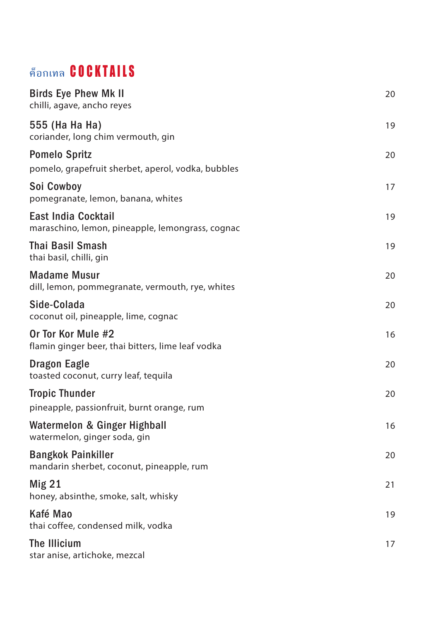## **ค็อกเทล** COCKTAILS

| <b>Birds Eye Phew Mk II</b><br>chilli, agave, ancho reyes                      | 20 |
|--------------------------------------------------------------------------------|----|
| 555 (Ha Ha Ha)<br>coriander, long chim vermouth, gin                           | 19 |
| <b>Pomelo Spritz</b>                                                           | 20 |
| pomelo, grapefruit sherbet, aperol, vodka, bubbles                             |    |
| Soi Cowboy<br>pomegranate, lemon, banana, whites                               | 17 |
| <b>East India Cocktail</b><br>maraschino, lemon, pineapple, lemongrass, cognac | 19 |
| <b>Thai Basil Smash</b><br>thai basil, chilli, gin                             | 19 |
| <b>Madame Musur</b><br>dill, lemon, pommegranate, vermouth, rye, whites        | 20 |
| Side-Colada<br>coconut oil, pineapple, lime, cognac                            | 20 |
| Or Tor Kor Mule #2<br>flamin ginger beer, thai bitters, lime leaf vodka        | 16 |
| Dragon Eagle<br>toasted coconut, curry leaf, tequila                           | 20 |
| <b>Tropic Thunder</b>                                                          | 20 |
| pineapple, passionfruit, burnt orange, rum                                     |    |
| Watermelon & Ginger Highball<br>watermelon, ginger soda, gin                   | 16 |
| <b>Bangkok Painkiller</b><br>mandarin sherbet, coconut, pineapple, rum         | 20 |
| Mig <sub>21</sub><br>honey, absinthe, smoke, salt, whisky                      | 21 |
| Kafé Mao<br>thai coffee, condensed milk, vodka                                 | 19 |
| The Illicium<br>star anise, artichoke, mezcal                                  | 17 |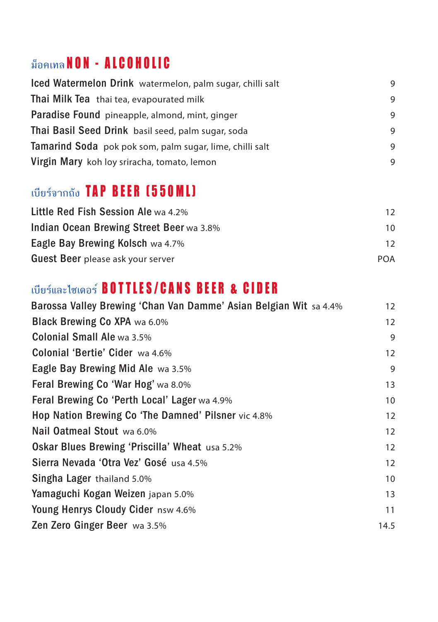## **ม็อคเทล** NON - ALCOHOLIC

| Iced Watermelon Drink watermelon, palm sugar, chilli salt | 9 |
|-----------------------------------------------------------|---|
| Thai Milk Tea thai tea, evapourated milk                  | 9 |
| Paradise Found pineapple, almond, mint, ginger            | 9 |
| Thai Basil Seed Drink basil seed, palm sugar, soda        | 9 |
| Tamarind Soda pok pok som, palm sugar, lime, chilli salt  | 9 |
| Virgin Mary koh loy sriracha, tomato, lemon               | 9 |

## **เบียร์จากถัง** TAP BEER (550ML)

| <b>Little Red Fish Session Ale wa 4.2%</b> | 12  |
|--------------------------------------------|-----|
| Indian Ocean Brewing Street Beer wa 3.8%   | 10  |
| Eagle Bay Brewing Kolsch wa 4.7%           | 12  |
| <b>Guest Beer</b> please ask your server   | POA |

## **เบียร์และไซเดอร**์ BOTTLES/CANS BEER & CIDER

| Barossa Valley Brewing 'Chan Van Damme' Asian Belgian Wit sa 4.4% | 12   |
|-------------------------------------------------------------------|------|
| Black Brewing Co XPA wa 6.0%                                      | 12   |
| <b>Colonial Small Ale wa 3.5%</b>                                 | 9    |
| Colonial 'Bertie' Cider wa 4.6%                                   | 12   |
| Eagle Bay Brewing Mid Ale wa 3.5%                                 | 9    |
| Feral Brewing Co 'War Hog' wa 8.0%                                | 13   |
| Feral Brewing Co 'Perth Local' Lager wa 4.9%                      | 10   |
| Hop Nation Brewing Co 'The Damned' Pilsner vic 4.8%               | 12   |
| Nail Oatmeal Stout wa 6.0%                                        | 12   |
| <b>Oskar Blues Brewing 'Priscilla' Wheat</b> usa 5.2%             | 12   |
| Sierra Nevada 'Otra Vez' Gosé usa 4.5%                            | 12   |
| Singha Lager thailand 5.0%                                        | 10   |
| Yamaguchi Kogan Weizen japan 5.0%                                 | 13   |
| Young Henrys Cloudy Cider nsw 4.6%                                | 11   |
| Zen Zero Ginger Beer wa 3.5%                                      | 14.5 |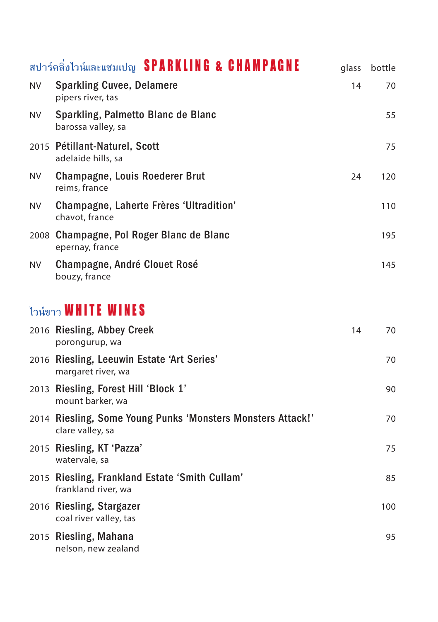|     | สปาร์คลิ่งไวน์และแชมเปญ SPARKLING & CHAMPAGNE                                   | glass | bottle |
|-----|---------------------------------------------------------------------------------|-------|--------|
| NV. | <b>Sparkling Cuvee, Delamere</b><br>pipers river, tas                           | 14    | 70     |
| NV. | Sparkling, Palmetto Blanc de Blanc<br>barossa valley, sa                        |       | 55     |
|     | 2015 Pétillant-Naturel, Scott<br>adelaide hills, sa                             |       | 75     |
| NV. | Champagne, Louis Roederer Brut<br>reims, france                                 | 24    | 120    |
| NV. | Champagne, Laherte Frères 'Ultradition'<br>chavot, france                       |       | 110    |
|     | 2008 Champagne, Pol Roger Blanc de Blanc<br>epernay, france                     |       | 195    |
| NV. | Champagne, André Clouet Rosé<br>bouzy, france                                   |       | 145    |
|     | ไวน์ขาว WHITE WINES                                                             |       |        |
|     | 2016 Riesling, Abbey Creek<br>porongurup, wa                                    | 14    | 70     |
|     | 2016 Riesling, Leeuwin Estate 'Art Series'<br>margaret river, wa                |       | 70     |
|     | 2013 Riesling, Forest Hill 'Block 1'<br>mount barker, wa                        |       | 90     |
|     | 2014 Riesling, Some Young Punks 'Monsters Monsters Attack!'<br>clare valley, sa |       | 70     |
|     | 2015 Riesling, KT 'Pazza'<br>watervale, sa                                      |       | 75     |
|     | 2015 Riesling, Frankland Estate 'Smith Cullam'<br>frankland river, wa           |       | 85     |
|     | 2016 Riesling, Stargazer<br>coal river valley, tas                              |       | 100    |
|     | 2015 Riesling, Mahana<br>nelson, new zealand                                    |       | 95     |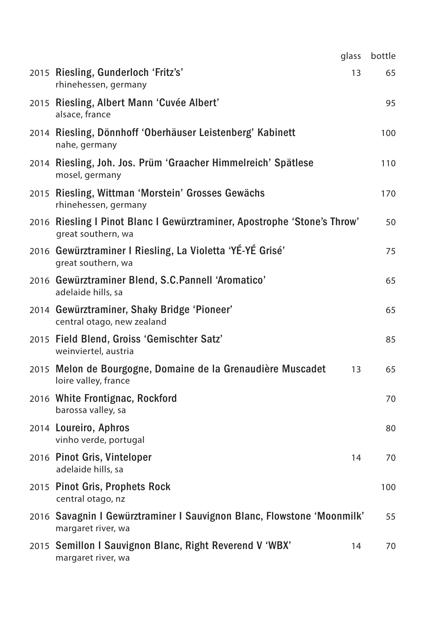| glass                                                                                          | bottle |
|------------------------------------------------------------------------------------------------|--------|
| 2015 Riesling, Gunderloch 'Fritz's'<br>13<br>rhinehessen, germany                              | 65     |
| 2015 Riesling, Albert Mann 'Cuvée Albert'<br>alsace, france                                    | 95     |
| 2014 Riesling, Dönnhoff 'Oberhäuser Leistenberg' Kabinett<br>nahe, germany                     | 100    |
| 2014 Riesling, Joh. Jos. Prüm 'Graacher Himmelreich' Spätlese<br>mosel, germany                | 110    |
| 2015 Riesling, Wittman 'Morstein' Grosses Gewächs<br>rhinehessen, germany                      | 170    |
| 2016 Riesling I Pinot Blanc I Gewürztraminer, Apostrophe 'Stone's Throw'<br>great southern, wa | 50     |
| 2016 Gewürztraminer I Riesling, La Violetta 'YÉ-YÉ Grisé'<br>great southern, wa                | 75     |
| 2016 Gewürztraminer Blend, S.C.Pannell 'Aromatico'<br>adelaide hills, sa                       | 65     |
| 2014 Gewürztraminer, Shaky Bridge 'Pioneer'<br>central otago, new zealand                      | 65     |
| 2015 Field Blend, Groiss 'Gemischter Satz'<br>weinviertel, austria                             | 85     |
| 2015 Melon de Bourgogne, Domaine de la Grenaudière Muscadet<br>13<br>loire valley, france      | 65     |
| 2016 White Frontignac, Rockford<br>barossa valley, sa                                          | 70     |
| 2014 Loureiro, Aphros<br>vinho verde, portugal                                                 | 80     |
| 2016 Pinot Gris, Vinteloper<br>14<br>adelaide hills, sa                                        | 70     |
| 2015 Pinot Gris, Prophets Rock<br>central otago, nz                                            | 100    |
| 2016 Savagnin I Gewürztraminer I Sauvignon Blanc, Flowstone 'Moonmilk'<br>margaret river, wa   | 55     |
| 2015 Semillon I Sauvignon Blanc, Right Reverend V 'WBX'<br>14<br>margaret river, wa            | 70     |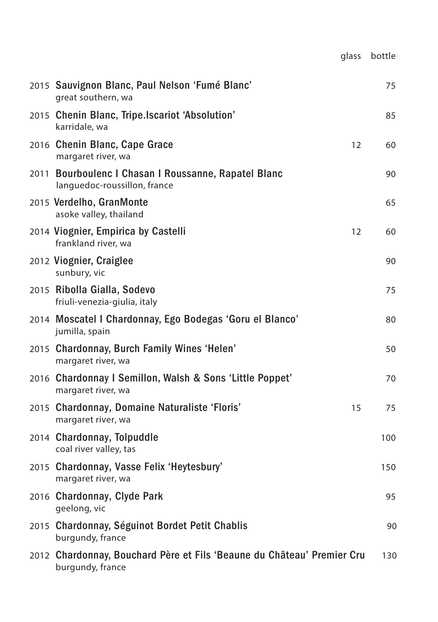|                                                                                            | glass | bottle |
|--------------------------------------------------------------------------------------------|-------|--------|
| 2015 Sauvignon Blanc, Paul Nelson 'Fumé Blanc'<br>great southern, wa                       |       | 75     |
| 2015 Chenin Blanc, Tripe.Iscariot 'Absolution'<br>karridale, wa                            |       | 85     |
| 2016 Chenin Blanc, Cape Grace<br>margaret river, wa                                        | 12    | 60     |
| 2011 Bourboulenc I Chasan I Roussanne, Rapatel Blanc<br>languedoc-roussillon, france       |       | 90     |
| 2015 Verdelho, GranMonte<br>asoke valley, thailand                                         |       | 65     |
| 2014 Viognier, Empirica by Castelli<br>frankland river, wa                                 | 12    | 60     |
| 2012 Viognier, Craiglee<br>sunbury, vic                                                    |       | 90     |
| 2015 Ribolla Gialla, Sodevo<br>friuli-venezia-giulia, italy                                |       | 75     |
| 2014 Moscatel I Chardonnay, Ego Bodegas 'Goru el Blanco'<br>jumilla, spain                 |       | 80     |
| 2015 Chardonnay, Burch Family Wines 'Helen'<br>margaret river, wa                          |       | 50     |
| 2016 Chardonnay I Semillon, Walsh & Sons 'Little Poppet'<br>margaret river, wa             |       | 70     |
| 2015 Chardonnay, Domaine Naturaliste 'Floris'<br>margaret river, wa                        | 15    | 75     |
| 2014 Chardonnay, Tolpuddle<br>coal river valley, tas                                       |       | 100    |
| 2015 Chardonnay, Vasse Felix 'Heytesbury'<br>margaret river, wa                            |       | 150    |
| 2016 Chardonnay, Clyde Park<br>geelong, vic                                                |       | 95     |
| 2015 Chardonnay, Séguinot Bordet Petit Chablis<br>burgundy, france                         |       | 90     |
| 2012 Chardonnay, Bouchard Père et Fils 'Beaune du Château' Premier Cru<br>burgundy, france |       | 130    |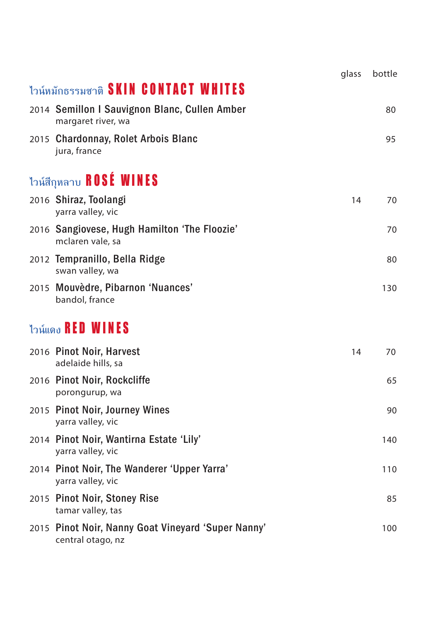|                                             |                                                                         | glass | bottle |
|---------------------------------------------|-------------------------------------------------------------------------|-------|--------|
| ไวน์หมักธรรมชาติ <b>SKIN CONTACT WHITES</b> |                                                                         |       |        |
|                                             | 2014 Semillon I Sauvignon Blanc, Cullen Amber<br>margaret river, wa     |       | 80     |
|                                             | 2015 Chardonnay, Rolet Arbois Blanc<br>jura, france                     |       | 95     |
|                                             | ไวน์สีกุหลาบ ROSE WINES                                                 |       |        |
|                                             | 2016 Shiraz, Toolangi<br>yarra valley, vic                              | 14    | 70     |
|                                             | 2016 Sangiovese, Hugh Hamilton 'The Floozie'<br>mclaren vale, sa        |       | 70     |
|                                             | 2012 Tempranillo, Bella Ridge<br>swan valley, wa                        |       | 80     |
|                                             | 2015 Mouvèdre, Pibarnon 'Nuances'<br>bandol, france                     |       | 130    |
|                                             | ไวน์แดง $\mathsf{RED}\ \mathsf{WINES}$                                  |       |        |
|                                             | 2016 Pinot Noir, Harvest<br>adelaide hills, sa                          | 14    | 70     |
|                                             | 2016 Pinot Noir, Rockcliffe<br>porongurup, wa                           |       | 65     |
|                                             | 2015 Pinot Noir, Journey Wines<br>yarra valley, vic                     |       | 90     |
|                                             | 2014 Pinot Noir, Wantirna Estate 'Lily'<br>yarra valley, vic            |       | 140    |
|                                             | 2014 Pinot Noir, The Wanderer 'Upper Yarra'<br>yarra valley, vic        |       | 110    |
|                                             | 2015 Pinot Noir, Stoney Rise<br>tamar valley, tas                       |       | 85     |
|                                             | 2015 Pinot Noir, Nanny Goat Vineyard 'Super Nanny'<br>central otago, nz |       | 100    |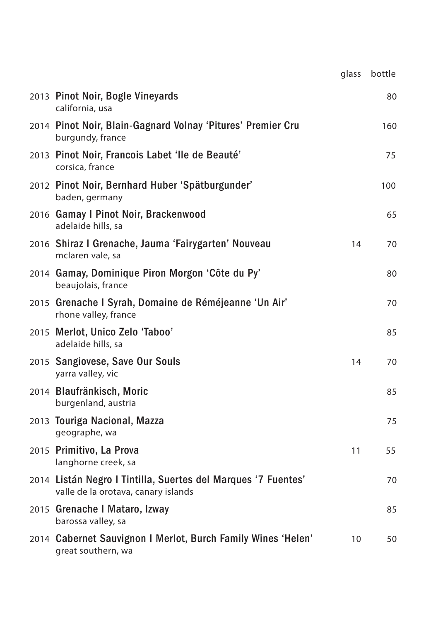|                                                                                                      | glass | bottle |
|------------------------------------------------------------------------------------------------------|-------|--------|
| 2013 Pinot Noir, Bogle Vineyards<br>california, usa                                                  |       | 80     |
| 2014 Pinot Noir, Blain-Gagnard Volnay 'Pitures' Premier Cru<br>burgundy, france                      |       | 160    |
| 2013 Pinot Noir, Francois Labet 'lle de Beauté'<br>corsica, france                                   |       | 75     |
| 2012 Pinot Noir, Bernhard Huber 'Spätburgunder'<br>baden, germany                                    |       | 100    |
| 2016 Gamay I Pinot Noir, Brackenwood<br>adelaide hills, sa                                           |       | 65     |
| 2016 Shiraz I Grenache, Jauma 'Fairygarten' Nouveau<br>mclaren vale, sa                              | 14    | 70     |
| 2014 Gamay, Dominique Piron Morgon 'Côte du Py'<br>beaujolais, france                                |       | 80     |
| 2015 Grenache I Syrah, Domaine de Réméjeanne 'Un Air'<br>rhone valley, france                        |       | 70     |
| 2015 Merlot, Unico Zelo 'Taboo'<br>adelaide hills, sa                                                |       | 85     |
| 2015 Sangiovese, Save Our Souls<br>yarra valley, vic                                                 | 14    | 70     |
| 2014 Blaufränkisch, Moric<br>burgenland, austria                                                     |       | 85     |
| 2013 Touriga Nacional, Mazza<br>geographe, wa                                                        |       | 75     |
| 2015 Primitivo, La Prova<br>langhorne creek, sa                                                      | 11    | 55     |
| 2014 Listán Negro I Tintilla, Suertes del Marques '7 Fuentes'<br>valle de la orotava, canary islands |       | 70     |
| 2015 Grenache I Mataro, Izway<br>barossa valley, sa                                                  |       | 85     |
| 2014 Cabernet Sauvignon I Merlot, Burch Family Wines 'Helen'<br>great southern, wa                   | 10    | 50     |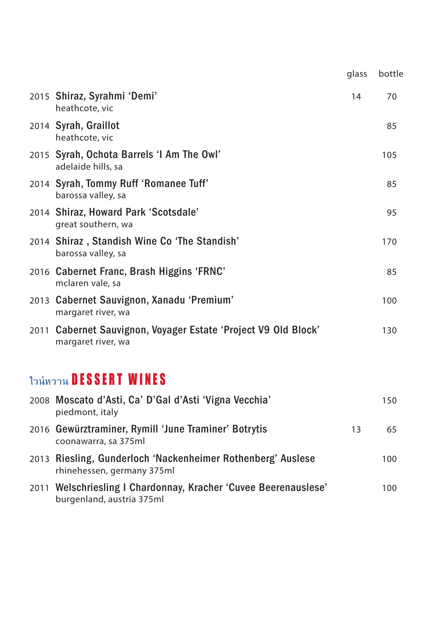|                                                                                      | glass | bottle |
|--------------------------------------------------------------------------------------|-------|--------|
| 2015 Shiraz, Syrahmi 'Demi'<br>heathcote, vic                                        | 14    | 70     |
| 2014 Syrah, Graillot<br>heathcote, vic                                               |       | 85     |
| 2015 Syrah, Ochota Barrels 'I Am The Owl'<br>adelaide hills, sa                      |       | 105    |
| 2014 Syrah, Tommy Ruff 'Romanee Tuff'<br>barossa valley, sa                          |       | 85     |
| 2014 Shiraz, Howard Park 'Scotsdale'<br>great southern, wa                           |       | 95     |
| 2014 Shiraz, Standish Wine Co 'The Standish'<br>barossa valley, sa                   |       | 170    |
| 2016 Cabernet Franc, Brash Higgins 'FRNC'<br>mclaren vale, sa                        |       | 85     |
| 2013 Cabernet Sauvignon, Xanadu 'Premium'<br>margaret river, wa                      |       | 100    |
| 2011 Cabernet Sauvignon, Voyager Estate 'Project V9 Old Block'<br>margaret river, wa |       | 130    |
| ไวน์หวาน DESSERT WINES                                                               |       |        |
| 2008 Moscato d'Asti, Ca' D'Gal d'Asti 'Vigna Vecchia'<br>piedmont, italy             |       | 150    |
| 2016 Gewürztraminer, Rymill 'June Traminer' Botrytis<br>coonawarra, sa 375ml         | 13    | 65     |
| 2013 Riesling, Gunderloch 'Nackenheimer Rothenberg' Auslese                          |       | 100    |

rhinehessen, germany 375ml 2011 Welschriesling I Chardonnay, Kracher 'Cuvee Beerenauslese' 100 burgenland, austria 375ml